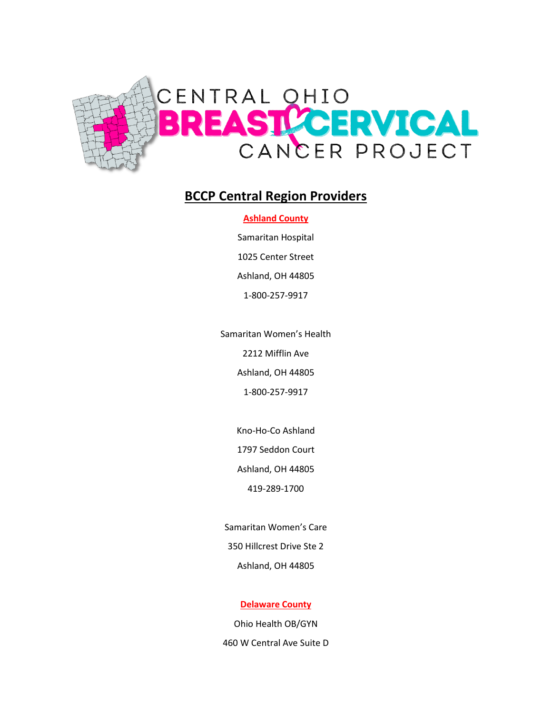

# **BCCP Central Region Providers**

## **Ashland County**

Samaritan Hospital 1025 Center Street Ashland, OH 44805

1-800-257-9917

Samaritan Women's Health

2212 Mifflin Ave

Ashland, OH 44805

1-800-257-9917

Kno-Ho-Co Ashland

1797 Seddon Court

Ashland, OH 44805

419-289-1700

Samaritan Women's Care 350 Hillcrest Drive Ste 2 Ashland, OH 44805

## **Delaware County**

Ohio Health OB/GYN 460 W Central Ave Suite D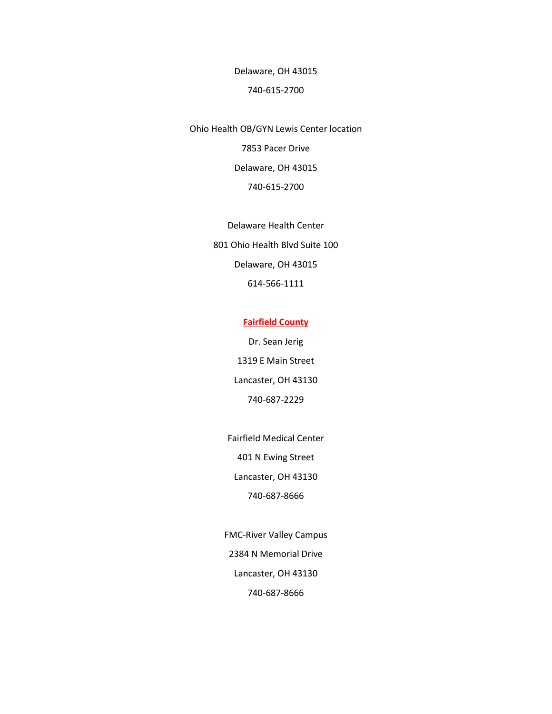Delaware, OH 43015

#### 740-615-2700

Ohio Health OB/GYN Lewis Center location 7853 Pacer Drive Delaware, OH 43015 740-615-2700

> Delaware Health Center 801 Ohio Health Blvd Suite 100 Delaware, OH 43015 614-566-1111

## **Fairfield County**

Dr. Sean Jerig 1319 E Main Street Lancaster, OH 43130 740-687-2229

Fairfield Medical Center 401 N Ewing Street Lancaster, OH 43130 740-687-8666

FMC-River Valley Campus 2384 N Memorial Drive Lancaster, OH 43130 740-687-8666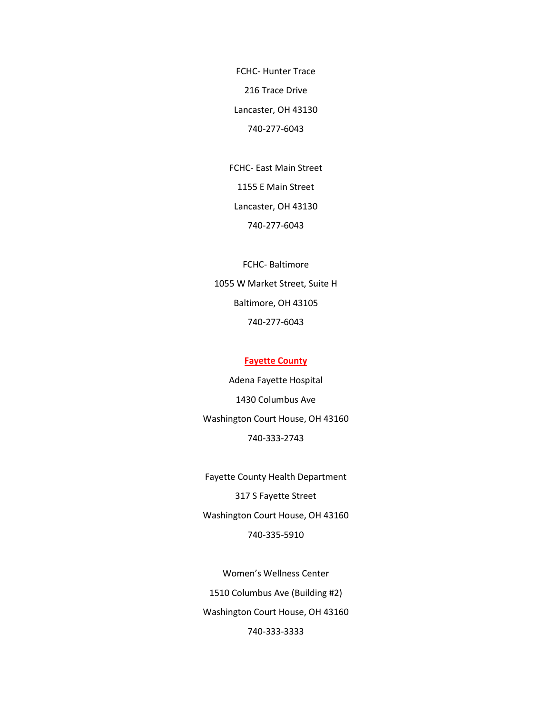FCHC- Hunter Trace 216 Trace Drive Lancaster, OH 43130 740-277-6043

FCHC- East Main Street 1155 E Main Street Lancaster, OH 43130 740-277-6043

FCHC- Baltimore 1055 W Market Street, Suite H Baltimore, OH 43105 740-277-6043

#### **Fayette County**

Adena Fayette Hospital 1430 Columbus Ave Washington Court House, OH 43160 740-333-2743

Fayette County Health Department 317 S Fayette Street Washington Court House, OH 43160 740-335-5910

Women's Wellness Center 1510 Columbus Ave (Building #2) Washington Court House, OH 43160 740-333-3333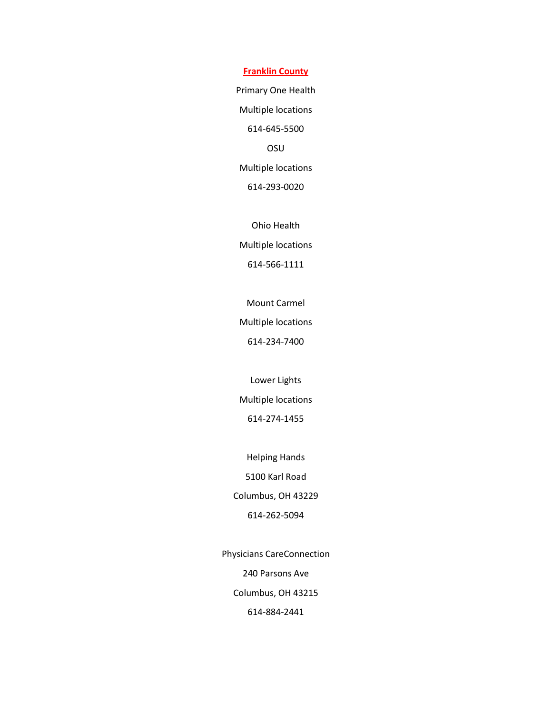**Franklin County**

Primary One Health Multiple locations 614-645-5500 OSU Multiple locations 614-293-0020

Ohio Health Multiple locations 614-566-1111

Mount Carmel

Multiple locations

614-234-7400

Lower Lights Multiple locations

614-274-1455

Helping Hands 5100 Karl Road Columbus, OH 43229 614-262-5094

Physicians CareConnection 240 Parsons Ave Columbus, OH 43215 614-884-2441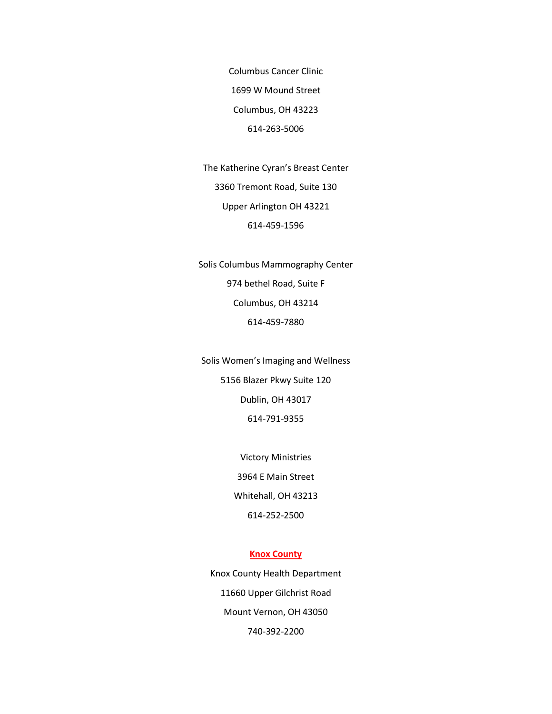Columbus Cancer Clinic 1699 W Mound Street Columbus, OH 43223 614-263-5006

The Katherine Cyran's Breast Center 3360 Tremont Road, Suite 130 Upper Arlington OH 43221 614-459-1596

Solis Columbus Mammography Center 974 bethel Road, Suite F Columbus, OH 43214 614-459-7880

Solis Women's Imaging and Wellness 5156 Blazer Pkwy Suite 120 Dublin, OH 43017 614-791-9355

> Victory Ministries 3964 E Main Street Whitehall, OH 43213 614-252-2500

#### **Knox County**

Knox County Health Department 11660 Upper Gilchrist Road Mount Vernon, OH 43050 740-392-2200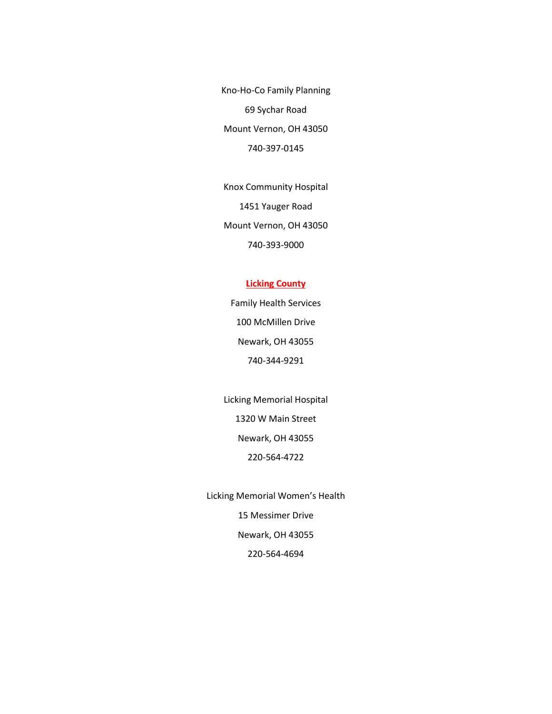Kno-Ho-Co Family Planning 69 Sychar Road Mount Vernon, OH 43050 740-397-0145

Knox Community Hospital 1451 Yauger Road Mount Vernon, OH 43050 740-393-9000

## **Licking County**

Family Health Services 100 McMillen Drive Newark, OH 43055 740-344-9291

Licking Memorial Hospital 1320 W Main Street Newark, OH 43055 220-564-4722

Licking Memorial Women's Health 15 Messimer Drive Newark, OH 43055 220-564-4694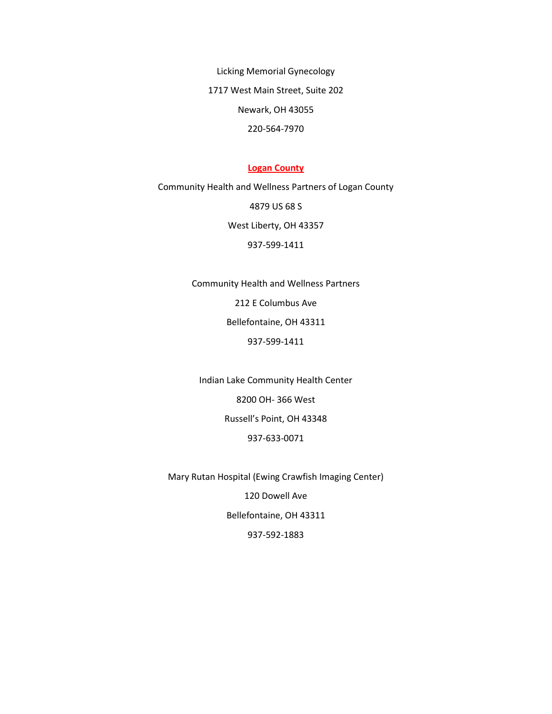Licking Memorial Gynecology 1717 West Main Street, Suite 202 Newark, OH 43055 220-564-7970

#### **Logan County**

Community Health and Wellness Partners of Logan County 4879 US 68 S West Liberty, OH 43357 937-599-1411

> Community Health and Wellness Partners 212 E Columbus Ave Bellefontaine, OH 43311 937-599-1411

Indian Lake Community Health Center 8200 OH- 366 West Russell's Point, OH 43348 937-633-0071

Mary Rutan Hospital (Ewing Crawfish Imaging Center) 120 Dowell Ave Bellefontaine, OH 43311 937-592-1883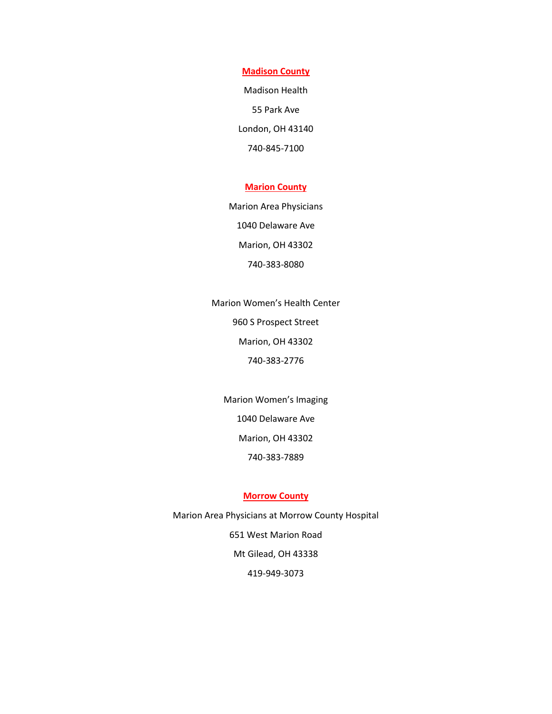**Madison County**

Madison Health 55 Park Ave London, OH 43140 740-845-7100

## **Marion County**

Marion Area Physicians 1040 Delaware Ave Marion, OH 43302 740-383-8080

Marion Women's Health Center 960 S Prospect Street Marion, OH 43302 740-383-2776

Marion Women's Imaging 1040 Delaware Ave Marion, OH 43302 740-383-7889

## **Morrow County**

Marion Area Physicians at Morrow County Hospital 651 West Marion Road Mt Gilead, OH 43338 419-949-3073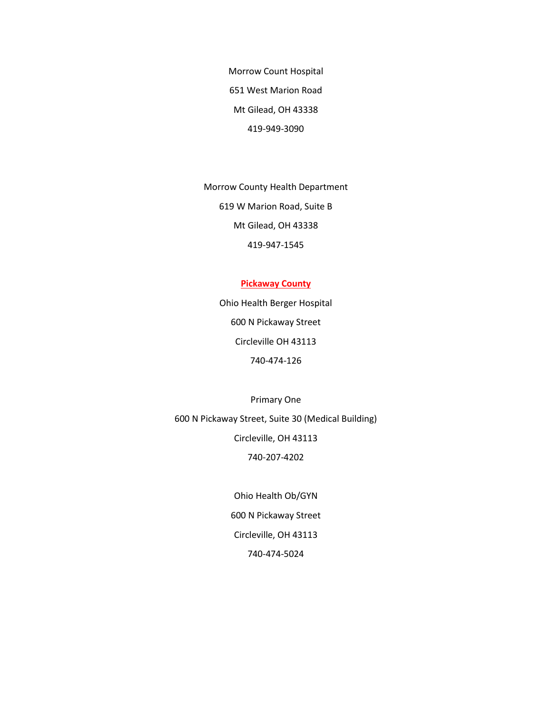Morrow Count Hospital 651 West Marion Road Mt Gilead, OH 43338 419-949-3090

Morrow County Health Department 619 W Marion Road, Suite B Mt Gilead, OH 43338 419-947-1545

## **Pickaway County**

Ohio Health Berger Hospital 600 N Pickaway Street Circleville OH 43113 740-474-126

Primary One 600 N Pickaway Street, Suite 30 (Medical Building) Circleville, OH 43113 740-207-4202

> Ohio Health Ob/GYN 600 N Pickaway Street Circleville, OH 43113 740-474-5024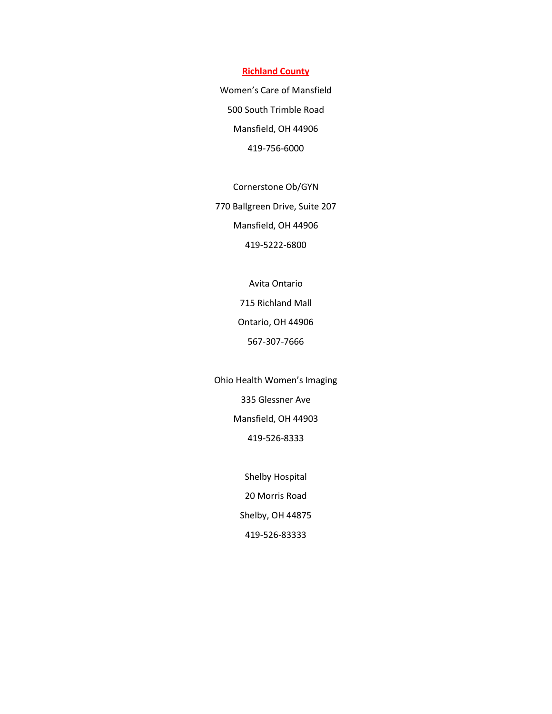#### **Richland County**

Women's Care of Mansfield 500 South Trimble Road Mansfield, OH 44906 419-756-6000

Cornerstone Ob/GYN 770 Ballgreen Drive, Suite 207 Mansfield, OH 44906 419-5222-6800

> Avita Ontario 715 Richland Mall Ontario, OH 44906 567-307-7666

Ohio Health Women's Imaging 335 Glessner Ave Mansfield, OH 44903 419-526-8333

> Shelby Hospital 20 Morris Road Shelby, OH 44875 419-526-83333